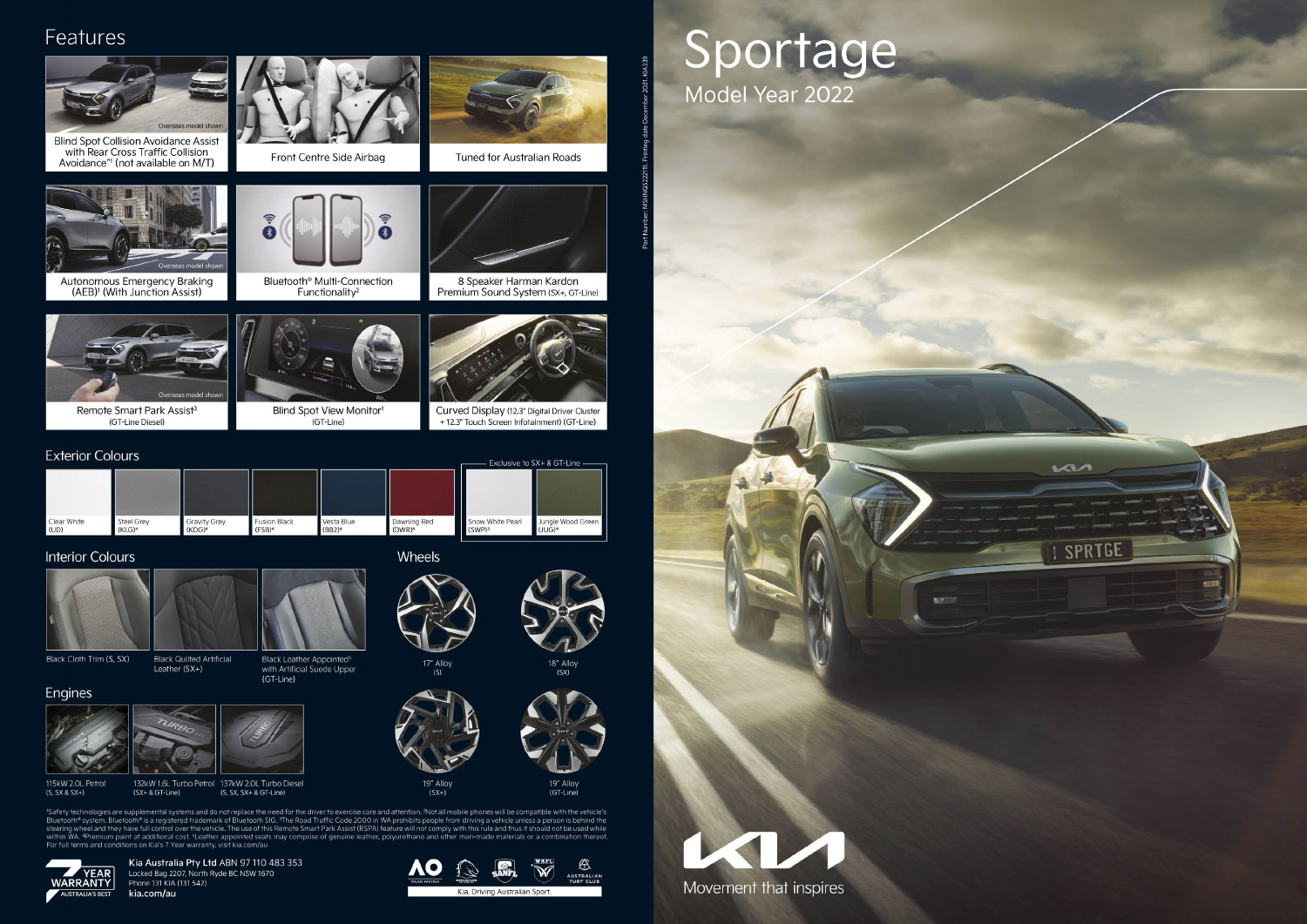## Features



'Safety technologies are supplemental systems and do not replace the need for the driver to exercise care and attention. <sup>2</sup>Not all mobile phones will be compatible with the vehicle's<br>Bluetooth® system. Bluetooth® is a reg within WA, "Premium paint at additional cost. "Leather appointed seats may comprise of genuine leather, polyurethane and other man-made materials or a combination thereof<br>For full terms and conditions on Kia's 7 Year warra



Kia Australia Pty Ltd ABN 97110 483 353<br>Locked Bag 2207, North Ryde BC NSW 1670 Phone 131 KIA (131 542) kia.com/au



## Sportage

Movement that inspires



96391111